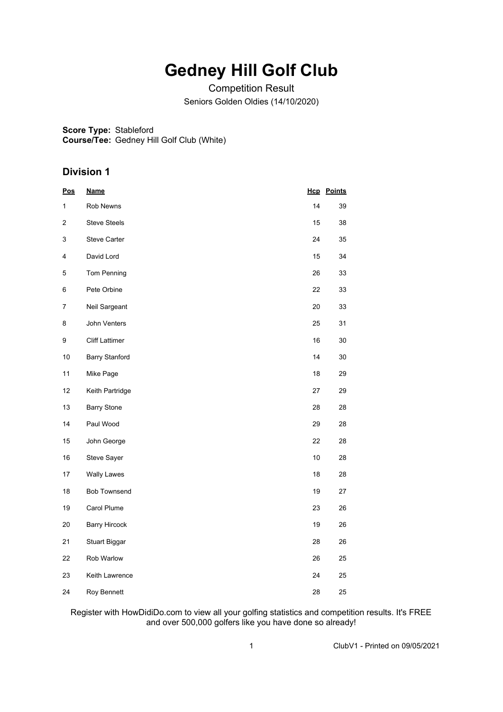## **Gedney Hill Golf Club**

Competition Result Seniors Golden Oldies (14/10/2020)

**Score Type:** Stableford

**Course/Tee:** Gedney Hill Golf Club (White)

## **Division 1**

| <u>Pos</u> | <b>Name</b>           |    | <b>Hcp</b> Points |
|------------|-----------------------|----|-------------------|
| 1          | Rob Newns             | 14 | 39                |
| 2          | <b>Steve Steels</b>   | 15 | 38                |
| 3          | Steve Carter          | 24 | 35                |
| 4          | David Lord            | 15 | 34                |
| 5          | Tom Penning           | 26 | 33                |
| 6          | Pete Orbine           | 22 | 33                |
| 7          | Neil Sargeant         | 20 | 33                |
| 8          | John Venters          | 25 | 31                |
| 9          | <b>Cliff Lattimer</b> | 16 | 30                |
| 10         | <b>Barry Stanford</b> | 14 | 30                |
| 11         | Mike Page             | 18 | 29                |
| 12         | Keith Partridge       | 27 | 29                |
| 13         | <b>Barry Stone</b>    | 28 | 28                |
| 14         | Paul Wood             | 29 | 28                |
| 15         | John George           | 22 | 28                |
| 16         | Steve Sayer           | 10 | 28                |
| 17         | Wally Lawes           | 18 | 28                |
| 18         | <b>Bob Townsend</b>   | 19 | 27                |
| 19         | Carol Plume           | 23 | 26                |
| 20         | <b>Barry Hircock</b>  | 19 | 26                |
| 21         | <b>Stuart Biggar</b>  | 28 | 26                |
| 22         | Rob Warlow            | 26 | 25                |
| 23         | Keith Lawrence        | 24 | 25                |
| 24         | Roy Bennett           | 28 | 25                |

Register with HowDidiDo.com to view all your golfing statistics and competition results. It's FREE and over 500,000 golfers like you have done so already!